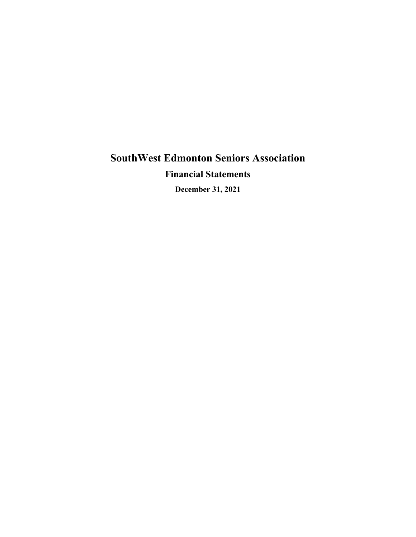# **SouthWest Edmonton Seniors Association Financial Statements**

**December 31, 2021**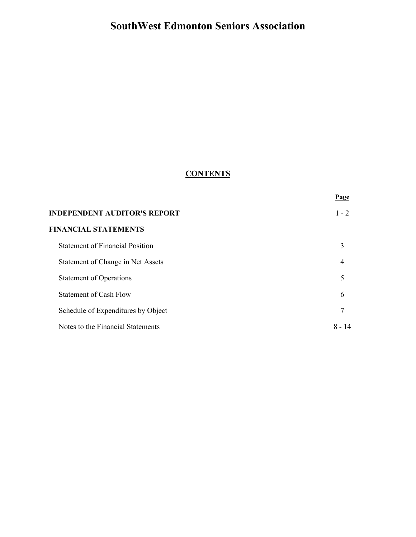# **CONTENTS**

|                                        | Page           |
|----------------------------------------|----------------|
| <b>INDEPENDENT AUDITOR'S REPORT</b>    | $1 - 2$        |
| <b>FINANCIAL STATEMENTS</b>            |                |
| <b>Statement of Financial Position</b> | 3              |
| Statement of Change in Net Assets      | $\overline{4}$ |
| <b>Statement of Operations</b>         | 5              |
| <b>Statement of Cash Flow</b>          | 6              |
| Schedule of Expenditures by Object     | 7              |
| Notes to the Financial Statements      | $8 - 14$       |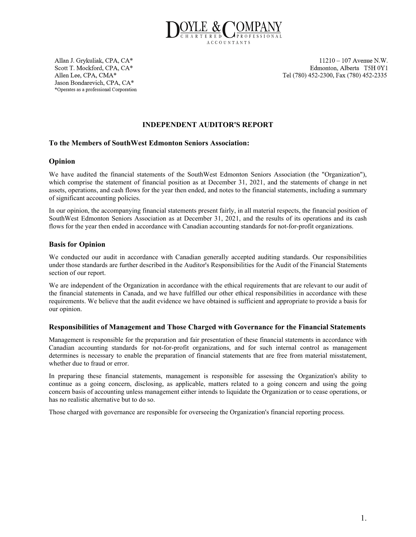

 $11210 - 107$  Avenue N.W. Edmonton, Alberta T5H 0Y1 Tel (780) 452-2300, Fax (780) 452-2335

Allan J. Grykuliak, CPA, CA\* Scott T. Mockford, CPA, CA\* Allen Lee, CPA, CMA\* Jason Bondarevich, CPA, CA\* \*Operates as a professional Corporation

### **INDEPENDENT AUDITOR'S REPORT**

### **To the Members of SouthWest Edmonton Seniors Association:**

### **Opinion**

We have audited the financial statements of the SouthWest Edmonton Seniors Association (the "Organization"), which comprise the statement of financial position as at December 31, 2021, and the statements of change in net assets, operations, and cash flows for the year then ended, and notes to the financial statements, including a summary of significant accounting policies.

In our opinion, the accompanying financial statements present fairly, in all material respects, the financial position of SouthWest Edmonton Seniors Association as at December 31, 2021, and the results of its operations and its cash flows for the year then ended in accordance with Canadian accounting standards for not-for-profit organizations.

### **Basis for Opinion**

We conducted our audit in accordance with Canadian generally accepted auditing standards. Our responsibilities under those standards are further described in the Auditor's Responsibilities for the Audit of the Financial Statements section of our report.

We are independent of the Organization in accordance with the ethical requirements that are relevant to our audit of the financial statements in Canada, and we have fulfilled our other ethical responsibilities in accordance with these requirements. We believe that the audit evidence we have obtained is sufficient and appropriate to provide a basis for our opinion.

### **Responsibilities of Management and Those Charged with Governance for the Financial Statements**

Management is responsible for the preparation and fair presentation of these financial statements in accordance with Canadian accounting standards for not-for-profit organizations, and for such internal control as management determines is necessary to enable the preparation of financial statements that are free from material misstatement, whether due to fraud or error.

In preparing these financial statements, management is responsible for assessing the Organization's ability to continue as a going concern, disclosing, as applicable, matters related to a going concern and using the going concern basis of accounting unless management either intends to liquidate the Organization or to cease operations, or has no realistic alternative but to do so.

Those charged with governance are responsible for overseeing the Organization's financial reporting process.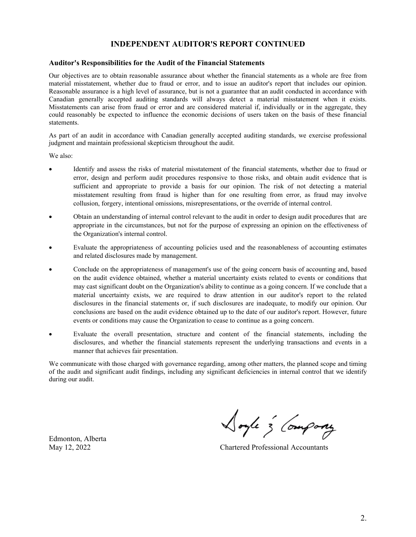### **INDEPENDENT AUDITOR'S REPORT CONTINUED**

### **Auditor's Responsibilities for the Audit of the Financial Statements**

Our objectives are to obtain reasonable assurance about whether the financial statements as a whole are free from material misstatement, whether due to fraud or error, and to issue an auditor's report that includes our opinion. Reasonable assurance is a high level of assurance, but is not a guarantee that an audit conducted in accordance with Canadian generally accepted auditing standards will always detect a material misstatement when it exists. Misstatements can arise from fraud or error and are considered material if, individually or in the aggregate, they could reasonably be expected to influence the economic decisions of users taken on the basis of these financial statements.

As part of an audit in accordance with Canadian generally accepted auditing standards, we exercise professional judgment and maintain professional skepticism throughout the audit.

We also:

- Identify and assess the risks of material misstatement of the financial statements, whether due to fraud or error, design and perform audit procedures responsive to those risks, and obtain audit evidence that is sufficient and appropriate to provide a basis for our opinion. The risk of not detecting a material misstatement resulting from fraud is higher than for one resulting from error, as fraud may involve collusion, forgery, intentional omissions, misrepresentations, or the override of internal control.
- Obtain an understanding of internal control relevant to the audit in order to design audit procedures that are appropriate in the circumstances, but not for the purpose of expressing an opinion on the effectiveness of the Organization's internal control.
- Evaluate the appropriateness of accounting policies used and the reasonableness of accounting estimates and related disclosures made by management.
- Conclude on the appropriateness of management's use of the going concern basis of accounting and, based on the audit evidence obtained, whether a material uncertainty exists related to events or conditions that may cast significant doubt on the Organization's ability to continue as a going concern. If we conclude that a material uncertainty exists, we are required to draw attention in our auditor's report to the related disclosures in the financial statements or, if such disclosures are inadequate, to modify our opinion. Our conclusions are based on the audit evidence obtained up to the date of our auditor's report. However, future events or conditions may cause the Organization to cease to continue as a going concern.
- Evaluate the overall presentation, structure and content of the financial statements, including the disclosures, and whether the financial statements represent the underlying transactions and events in a manner that achieves fair presentation.

We communicate with those charged with governance regarding, among other matters, the planned scope and timing of the audit and significant audit findings, including any significant deficiencies in internal control that we identify during our audit.

Edmonton, Alberta

Soyle & Compony

May 12, 2022 Chartered Professional Accountants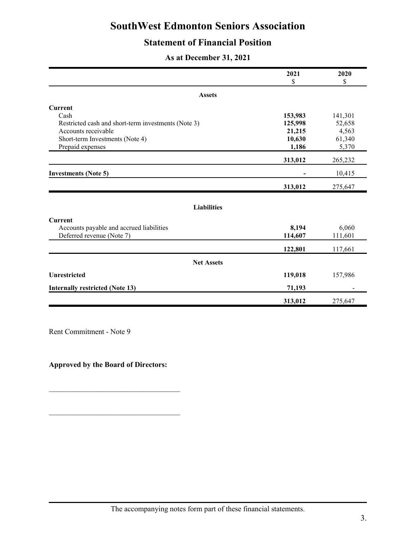# **Statement of Financial Position**

|                                                                                                                                                      | 2021<br>\$                                      | 2020<br>\$                                    |
|------------------------------------------------------------------------------------------------------------------------------------------------------|-------------------------------------------------|-----------------------------------------------|
| <b>Assets</b>                                                                                                                                        |                                                 |                                               |
| Current<br>Cash<br>Restricted cash and short-term investments (Note 3)<br>Accounts receivable<br>Short-term Investments (Note 4)<br>Prepaid expenses | 153,983<br>125,998<br>21,215<br>10,630<br>1,186 | 141,301<br>52,658<br>4,563<br>61,340<br>5,370 |
|                                                                                                                                                      | 313,012                                         | 265,232                                       |
| <b>Investments (Note 5)</b>                                                                                                                          |                                                 | 10,415                                        |
|                                                                                                                                                      | 313,012                                         | 275,647                                       |
| <b>Liabilities</b>                                                                                                                                   |                                                 |                                               |
| Current<br>Accounts payable and accrued liabilities<br>Deferred revenue (Note 7)                                                                     | 8,194<br>114,607                                | 6,060<br>111,601                              |
|                                                                                                                                                      | 122,801                                         | 117,661                                       |
| <b>Net Assets</b>                                                                                                                                    |                                                 |                                               |
| <b>Unrestricted</b><br><b>Internally restricted (Note 13)</b>                                                                                        | 119,018<br>71,193                               | 157,986                                       |
|                                                                                                                                                      | 313,012                                         | 275,647                                       |

**As at December 31, 2021**

Rent Commitment - Note 9

**Approved by the Board of Directors:**

 $\mathcal{L}_\text{max}$ 

 $\mathcal{L}_\text{max}$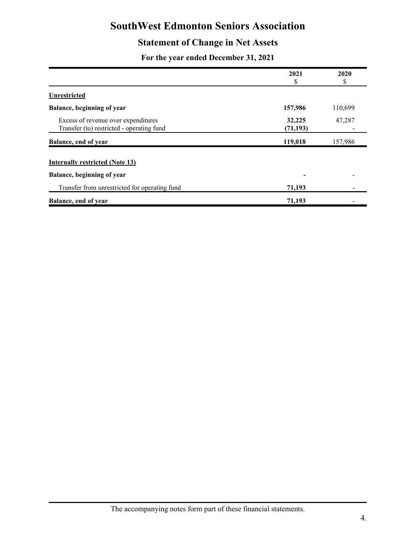# **Statement of Change in Net Assets**

|                                                                                  | 2021<br>\$          | 2020<br>\$ |
|----------------------------------------------------------------------------------|---------------------|------------|
| Unrestricted                                                                     |                     |            |
| Balance, beginning of year                                                       | 157,986             | 110,699    |
| Excess of revenue over expenditures<br>Transfer (to) restricted - operating fund | 32,225<br>(71, 193) | 47,287     |
| Balance, end of year                                                             | 119,018             | 157,986    |
| <b>Internally restricted (Note 13)</b>                                           |                     |            |
| Balance, beginning of year                                                       |                     |            |
| Transfer from unrestricted for operating fund                                    | 71,193              |            |
| Balance, end of year                                                             | 71,193              |            |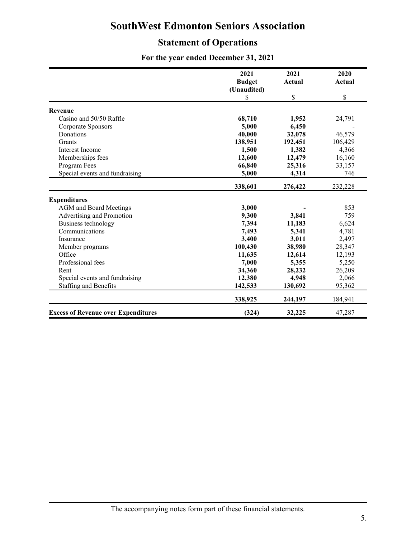# **Statement of Operations**

|                                            | 2021<br><b>Budget</b><br>(Unaudited) | 2021<br>Actual | 2020<br>Actual |
|--------------------------------------------|--------------------------------------|----------------|----------------|
|                                            | \$                                   | \$             | $\mathbb S$    |
| Revenue                                    |                                      |                |                |
| Casino and 50/50 Raffle                    | 68,710                               | 1,952          | 24,791         |
| Corporate Sponsors                         | 5,000                                | 6,450          |                |
| Donations                                  | 40,000                               | 32,078         | 46,579         |
| Grants                                     | 138,951                              | 192,451        | 106,429        |
| <b>Interest Income</b>                     | 1,500                                | 1,382          | 4,366          |
| Memberships fees                           | 12,600                               | 12,479         | 16,160         |
| Program Fees                               | 66,840                               | 25,316         | 33,157         |
| Special events and fundraising             | 5,000                                | 4,314          | 746            |
|                                            | 338,601                              | 276,422        | 232,228        |
| <b>Expenditures</b>                        |                                      |                |                |
| <b>AGM</b> and Board Meetings              | 3,000                                |                | 853            |
| Advertising and Promotion                  | 9,300                                | 3,841          | 759            |
| Business technology                        | 7,394                                | 11,183         | 6,624          |
| Communications                             | 7,493                                | 5,341          | 4,781          |
| Insurance                                  | 3,400                                | 3,011          | 2,497          |
| Member programs                            | 100,430                              | 38,980         | 28,347         |
| Office                                     | 11,635                               | 12,614         | 12,193         |
| Professional fees                          | 7,000                                | 5,355          | 5,250          |
| Rent                                       | 34,360                               | 28,232         | 26,209         |
| Special events and fundraising             | 12,380                               | 4,948          | 2,066          |
| <b>Staffing and Benefits</b>               | 142,533                              | 130,692        | 95,362         |
|                                            | 338,925                              | 244,197        | 184,941        |
| <b>Excess of Revenue over Expenditures</b> | (324)                                | 32,225         | 47,287         |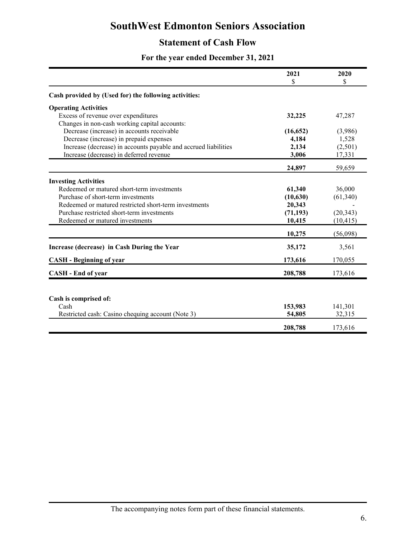# **Statement of Cash Flow**

|                                                                 | 2021<br>\$ | 2020<br>\$ |
|-----------------------------------------------------------------|------------|------------|
| Cash provided by (Used for) the following activities:           |            |            |
| <b>Operating Activities</b>                                     |            |            |
| Excess of revenue over expenditures                             | 32,225     | 47,287     |
| Changes in non-cash working capital accounts:                   |            |            |
| Decrease (increase) in accounts receivable                      | (16, 652)  | (3,986)    |
| Decrease (increase) in prepaid expenses                         | 4,184      | 1,528      |
| Increase (decrease) in accounts payable and accrued liabilities | 2,134      | (2,501)    |
| Increase (decrease) in deferred revenue                         | 3,006      | 17,331     |
|                                                                 | 24,897     | 59,659     |
| <b>Investing Activities</b>                                     |            |            |
| Redeemed or matured short-term investments                      | 61,340     | 36,000     |
| Purchase of short-term investments                              | (10, 630)  | (61, 340)  |
| Redeemed or matured restricted short-term investments           | 20,343     |            |
| Purchase restricted short-term investments                      | (71, 193)  | (20, 343)  |
| Redeemed or matured investments                                 | 10,415     | (10, 415)  |
|                                                                 |            |            |
|                                                                 | 10,275     | (56,098)   |
| Increase (decrease) in Cash During the Year                     | 35,172     | 3,561      |
| <b>CASH</b> - Beginning of year                                 | 173,616    | 170,055    |
| <b>CASH</b> - End of year                                       | 208,788    | 173,616    |
|                                                                 |            |            |
| Cash is comprised of:                                           |            |            |
| Cash                                                            | 153,983    | 141,301    |
| Restricted cash: Casino chequing account (Note 3)               | 54,805     | 32,315     |
|                                                                 | 208,788    | 173,616    |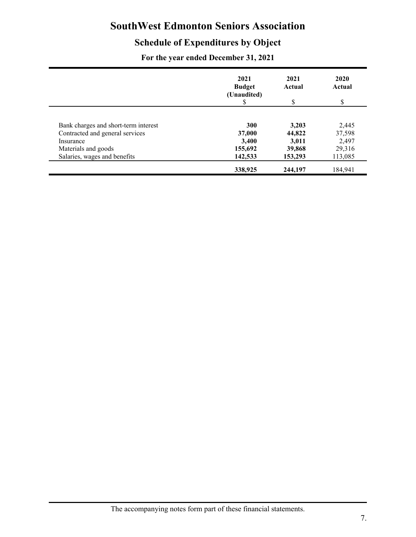# **Schedule of Expenditures by Object**

|                                      | 2021<br><b>Budget</b><br>(Unaudited) | 2021<br>Actual | 2020<br>Actual |
|--------------------------------------|--------------------------------------|----------------|----------------|
|                                      |                                      | \$             | \$             |
| Bank charges and short-term interest | 300                                  | 3,203          | 2,445          |
| Contracted and general services      | 37,000                               | 44,822         | 37,598         |
| Insurance                            | 3,400                                | 3,011          | 2,497          |
| Materials and goods                  | 155,692                              | 39,868         | 29,316         |
| Salaries, wages and benefits         | 142,533                              | 153,293        | 113,085        |
|                                      | 338,925                              | 244,197        | 184,941        |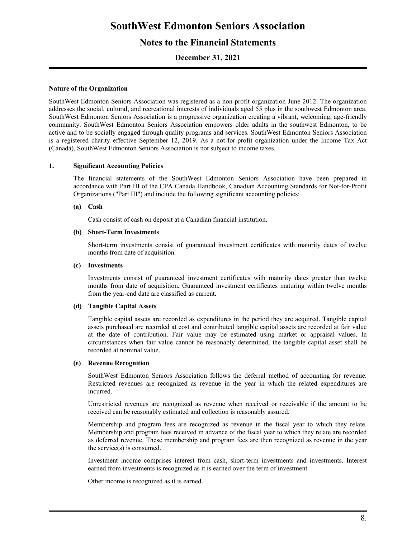### **Notes to the Financial Statements**

### **December 31, 2021**

#### **Nature of the Organization**

SouthWest Edmonton Seniors Association was registered as a non-profit organization June 2012. The organization addresses the social, cultural, and recreational interests of individuals aged 55 plus in the southwest Edmonton area. SouthWest Edmonton Seniors Association is a progressive organization creating a vibrant, welcoming, age-friendly community. SouthWest Edmonton Seniors Association empowers older adults in the southwest Edmonton, to be active and to be socially engaged through quality programs and services. SouthWest Edmonton Seniors Association is a registered charity effective September 12, 2019. As a not-for-profit organization under the Income Tax Act (Canada), SouthWest Edmonton Seniors Association is not subject to income taxes.

#### **1. Significant Accounting Policies**

The financial statements of the SouthWest Edmonton Seniors Association have been prepared in accordance with Part III of the CPA Canada Handbook, Canadian Accounting Standards for Not-for-Profit Organizations ("Part III") and include the following significant accounting policies:

#### **(a) Cash**

Cash consist of cash on deposit at a Canadian financial institution.

#### **(b) Short-Term Investments**

Short-term investments consist of guaranteed investment certificates with maturity dates of twelve months from date of acquisition.

### **(c) Investments**

Investments consist of guaranteed investment certificates with maturity dates greater than twelve months from date of acquisition. Guaranteed investment certificates maturing within twelve months from the year-end date are classified as current.

#### **(d) Tangible Capital Assets**

Tangible capital assets are recorded as expenditures in the period they are acquired. Tangible capital assets purchased are recorded at cost and contributed tangible capital assets are recorded at fair value at the date of contribution. Fair value may be estimated using market or appraisal values. In circumstances when fair value cannot be reasonably determined, the tangible capital asset shall be recorded at nominal value.

#### **(e) Revenue Recognition**

SouthWest Edmonton Seniors Association follows the deferral method of accounting for revenue. Restricted revenues are recognized as revenue in the year in which the related expenditures are incurred.

Unrestricted revenues are recognized as revenue when received or receivable if the amount to be received can be reasonably estimated and collection is reasonably assured.

Membership and program fees are recognized as revenue in the fiscal year to which they relate. Membership and program fees received in advance of the fiscal year to which they relate are recorded as deferred revenue. These membership and program fees are then recognized as revenue in the year the service(s) is consumed.

Investment income comprises interest from cash, short-term investments and investments. Interest earned from investments is recognized as it is earned over the term of investment.

Other income is recognized as it is earned.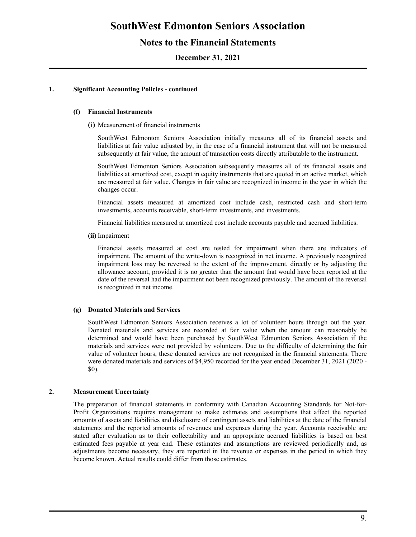### **Notes to the Financial Statements**

**December 31, 2021**

### **1. Significant Accounting Policies - continued**

#### **(f) Financial Instruments**

**(**i**)** Measurement of financial instruments

SouthWest Edmonton Seniors Association initially measures all of its financial assets and liabilities at fair value adjusted by, in the case of a financial instrument that will not be measured subsequently at fair value, the amount of transaction costs directly attributable to the instrument.

SouthWest Edmonton Seniors Association subsequently measures all of its financial assets and liabilities at amortized cost, except in equity instruments that are quoted in an active market, which are measured at fair value. Changes in fair value are recognized in income in the year in which the changes occur.

Financial assets measured at amortized cost include cash, restricted cash and short-term investments, accounts receivable, short-term investments, and investments.

Financial liabilities measured at amortized cost include accounts payable and accrued liabilities.

**(ii)** Impairment

Financial assets measured at cost are tested for impairment when there are indicators of impairment. The amount of the write-down is recognized in net income. A previously recognized impairment loss may be reversed to the extent of the improvement, directly or by adjusting the allowance account, provided it is no greater than the amount that would have been reported at the date of the reversal had the impairment not been recognized previously. The amount of the reversal is recognized in net income.

### **(g) Donated Materials and Services**

SouthWest Edmonton Seniors Association receives a lot of volunteer hours through out the year. Donated materials and services are recorded at fair value when the amount can reasonably be determined and would have been purchased by SouthWest Edmonton Seniors Association if the materials and services were not provided by volunteers. Due to the difficulty of determining the fair value of volunteer hours, these donated services are not recognized in the financial statements. There were donated materials and services of \$4,950 recorded for the year ended December 31, 2021 (2020 - \$0).

### **2. Measurement Uncertainty**

The preparation of financial statements in conformity with Canadian Accounting Standards for Not-for-Profit Organizations requires management to make estimates and assumptions that affect the reported amounts of assets and liabilities and disclosure of contingent assets and liabilities at the date of the financial statements and the reported amounts of revenues and expenses during the year. Accounts receivable are stated after evaluation as to their collectability and an appropriate accrued liabilities is based on best estimated fees payable at year end. These estimates and assumptions are reviewed periodically and, as adjustments become necessary, they are reported in the revenue or expenses in the period in which they become known. Actual results could differ from those estimates.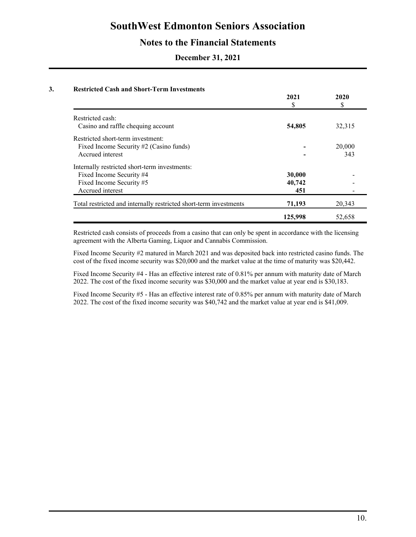### **Notes to the Financial Statements**

### **December 31, 2021**

### **3. Restricted Cash and Short-Term Investments**

|                                                                   | 2021    | 2020<br>\$ |
|-------------------------------------------------------------------|---------|------------|
| Restricted cash:                                                  |         |            |
| Casino and raffle chequing account                                | 54,805  | 32,315     |
| Restricted short-term investment:                                 |         |            |
| Fixed Income Security #2 (Casino funds)                           |         | 20,000     |
| Accrued interest                                                  |         | 343        |
| Internally restricted short-term investments:                     |         |            |
| Fixed Income Security #4                                          | 30,000  |            |
| Fixed Income Security #5                                          | 40,742  |            |
| Accrued interest                                                  | 451     |            |
| Total restricted and internally restricted short-term investments | 71,193  | 20,343     |
|                                                                   | 125,998 | 52,658     |

Restricted cash consists of proceeds from a casino that can only be spent in accordance with the licensing agreement with the Alberta Gaming, Liquor and Cannabis Commission.

Fixed Income Security #2 matured in March 2021 and was deposited back into restricted casino funds. The cost of the fixed income security was \$20,000 and the market value at the time of maturity was \$20,442.

Fixed Income Security #4 - Has an effective interest rate of 0.81% per annum with maturity date of March 2022. The cost of the fixed income security was \$30,000 and the market value at year end is \$30,183.

Fixed Income Security #5 - Has an effective interest rate of 0.85% per annum with maturity date of March 2022. The cost of the fixed income security was \$40,742 and the market value at year end is \$41,009.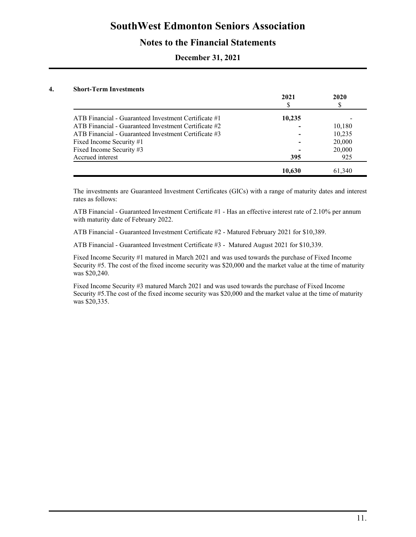### **Notes to the Financial Statements**

### **December 31, 2021**

### **4. Short-Term Investments**

| энэг – гогт ти сэмноно                               | 2021   | 2020   |
|------------------------------------------------------|--------|--------|
| ATB Financial - Guaranteed Investment Certificate #1 | 10,235 |        |
| ATB Financial - Guaranteed Investment Certificate #2 |        | 10,180 |
| ATB Financial - Guaranteed Investment Certificate #3 |        | 10,235 |
| Fixed Income Security #1                             |        | 20,000 |
| Fixed Income Security #3                             |        | 20,000 |
| Accrued interest                                     | 395    | 925    |
|                                                      | 10,630 | 61.340 |

The investments are Guaranteed Investment Certificates (GICs) with a range of maturity dates and interest rates as follows:

ATB Financial - Guaranteed Investment Certificate #1 - Has an effective interest rate of 2.10% per annum with maturity date of February 2022.

ATB Financial - Guaranteed Investment Certificate #2 - Matured February 2021 for \$10,389.

ATB Financial - Guaranteed Investment Certificate #3 - Matured August 2021 for \$10,339.

Fixed Income Security #1 matured in March 2021 and was used towards the purchase of Fixed Income Security #5. The cost of the fixed income security was \$20,000 and the market value at the time of maturity was \$20,240.

Fixed Income Security #3 matured March 2021 and was used towards the purchase of Fixed Income Security #5.The cost of the fixed income security was \$20,000 and the market value at the time of maturity was \$20,335.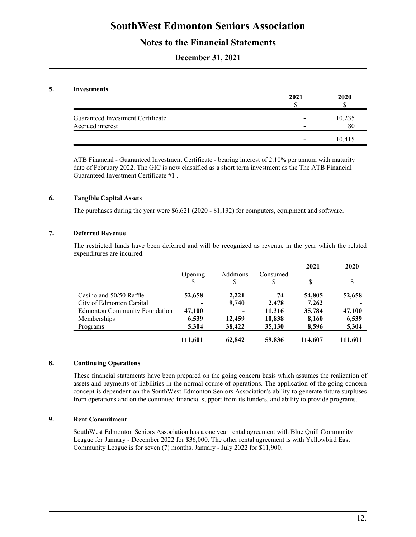### **Notes to the Financial Statements**

### **December 31, 2021**

### **5. Investments**

|                                   | 2021 | 2020   |
|-----------------------------------|------|--------|
| Guaranteed Investment Certificate |      | 10,235 |
| Accrued interest                  |      | 180    |
|                                   |      | 10.415 |

ATB Financial - Guaranteed Investment Certificate - bearing interest of 2.10% per annum with maturity date of February 2022. The GIC is now classified as a short term investment as the The ATB Financial Guaranteed Investment Certificate #1 .

### **6. Tangible Capital Assets**

The purchases during the year were \$6,621 (2020 - \$1,132) for computers, equipment and software.

### **7. Deferred Revenue**

The restricted funds have been deferred and will be recognized as revenue in the year which the related expenditures are incurred.

|                                      |               |                          |          | 2021    | 2020    |
|--------------------------------------|---------------|--------------------------|----------|---------|---------|
|                                      | Opening<br>\$ | <b>Additions</b>         | Consumed | \$      | S       |
| Casino and 50/50 Raffle              | 52,658        | 2,221                    | 74       | 54,805  | 52,658  |
| City of Edmonton Capital             |               | 9,740                    | 2,478    | 7,262   |         |
| <b>Edmonton Community Foundation</b> | 47,100        | $\overline{\phantom{0}}$ | 11,316   | 35,784  | 47,100  |
| Memberships                          | 6,539         | 12,459                   | 10,838   | 8,160   | 6,539   |
| Programs                             | 5,304         | 38,422                   | 35,130   | 8,596   | 5,304   |
|                                      | 111,601       | 62,842                   | 59,836   | 114,607 | 111,601 |

### **8. Continuing Operations**

These financial statements have been prepared on the going concern basis which assumes the realization of assets and payments of liabilities in the normal course of operations. The application of the going concern concept is dependent on the SouthWest Edmonton Seniors Association's ability to generate future surpluses from operations and on the continued financial support from its funders, and ability to provide programs.

#### **9. Rent Commitment**

SouthWest Edmonton Seniors Association has a one year rental agreement with Blue Quill Community League for January - December 2022 for \$36,000. The other rental agreement is with Yellowbird East Community League is for seven (7) months, January - July 2022 for \$11,900.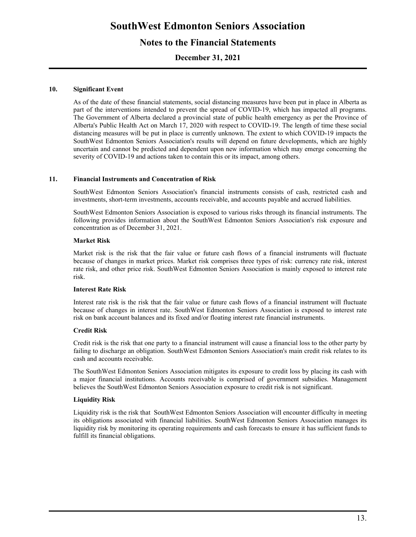### **Notes to the Financial Statements**

### **December 31, 2021**

#### **10. Significant Event**

As of the date of these financial statements, social distancing measures have been put in place in Alberta as part of the interventions intended to prevent the spread of COVID-19, which has impacted all programs. The Government of Alberta declared a provincial state of public health emergency as per the Province of Alberta's Public Health Act on March 17, 2020 with respect to COVID-19. The length of time these social distancing measures will be put in place is currently unknown. The extent to which COVID-19 impacts the SouthWest Edmonton Seniors Association's results will depend on future developments, which are highly uncertain and cannot be predicted and dependent upon new information which may emerge concerning the severity of COVID-19 and actions taken to contain this or its impact, among others.

#### **11. Financial Instruments and Concentration of Risk**

SouthWest Edmonton Seniors Association's financial instruments consists of cash, restricted cash and investments, short-term investments, accounts receivable, and accounts payable and accrued liabilities.

SouthWest Edmonton Seniors Association is exposed to various risks through its financial instruments. The following provides information about the SouthWest Edmonton Seniors Association's risk exposure and concentration as of December 31, 2021.

#### **Market Risk**

Market risk is the risk that the fair value or future cash flows of a financial instruments will fluctuate because of changes in market prices. Market risk comprises three types of risk: currency rate risk, interest rate risk, and other price risk. SouthWest Edmonton Seniors Association is mainly exposed to interest rate risk.

#### **Interest Rate Risk**

Interest rate risk is the risk that the fair value or future cash flows of a financial instrument will fluctuate because of changes in interest rate. SouthWest Edmonton Seniors Association is exposed to interest rate risk on bank account balances and its fixed and/or floating interest rate financial instruments.

### **Credit Risk**

Credit risk is the risk that one party to a financial instrument will cause a financial loss to the other party by failing to discharge an obligation. SouthWest Edmonton Seniors Association's main credit risk relates to its cash and accounts receivable.

The SouthWest Edmonton Seniors Association mitigates its exposure to credit loss by placing its cash with a major financial institutions. Accounts receivable is comprised of government subsidies. Management believes the SouthWest Edmonton Seniors Association exposure to credit risk is not significant.

#### **Liquidity Risk**

Liquidity risk is the risk that SouthWest Edmonton Seniors Association will encounter difficulty in meeting its obligations associated with financial liabilities. SouthWest Edmonton Seniors Association manages its liquidity risk by monitoring its operating requirements and cash forecasts to ensure it has sufficient funds to fulfill its financial obligations.